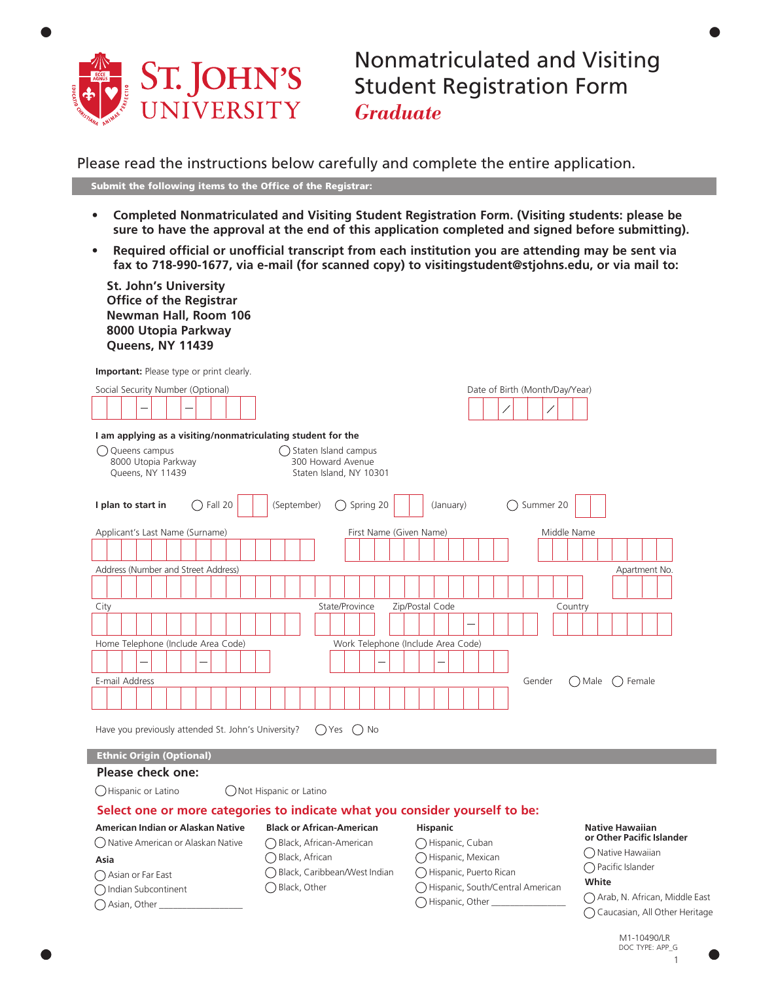

Nonmatriculated and Visiting Student Registration Form *Graduate*

•

Please read the instructions below carefully and complete the entire application.

Submit the following items to the Office of the Registrar:

- **Completed Nonmatriculated and Visiting Student Registration Form. (Visiting students: please be sure to have the approval at the end of this application completed and signed before submitting).**
- **Required official or unofficial transcript from each institution you are attending may be sent via fax to 718-990-1677, via e-mail (for scanned copy) to visitingstudent@stjohns.edu, or via mail to:**

| <b>St. John's University</b><br><b>Office of the Registrar</b><br>Newman Hall, Room 106<br>8000 Utopia Parkway<br>Queens, NY 11439 |                                                                         |                                    |                                                     |
|------------------------------------------------------------------------------------------------------------------------------------|-------------------------------------------------------------------------|------------------------------------|-----------------------------------------------------|
| <b>Important:</b> Please type or print clearly.                                                                                    |                                                                         |                                    |                                                     |
| Social Security Number (Optional)                                                                                                  |                                                                         | Date of Birth (Month/Day/Year)     |                                                     |
| I am applying as a visiting/nonmatriculating student for the                                                                       |                                                                         |                                    |                                                     |
| () Queens campus<br>8000 Utopia Parkway<br>Queens, NY 11439                                                                        | () Staten Island campus<br>300 Howard Avenue<br>Staten Island, NY 10301 |                                    |                                                     |
| $\bigcap$ Fall 20<br>I plan to start in                                                                                            | $\bigcirc$ Spring 20<br>(September)                                     | ◯ Summer 20<br>(January)           |                                                     |
| Applicant's Last Name (Surname)                                                                                                    | First Name (Given Name)                                                 | Middle Name                        |                                                     |
|                                                                                                                                    |                                                                         |                                    |                                                     |
| Address (Number and Street Address)                                                                                                |                                                                         |                                    | Apartment No.                                       |
|                                                                                                                                    |                                                                         |                                    |                                                     |
| City                                                                                                                               | State/Province                                                          | Zip/Postal Code<br>Country         |                                                     |
|                                                                                                                                    |                                                                         |                                    |                                                     |
| Home Telephone (Include Area Code)                                                                                                 | Work Telephone (Include Area Code)                                      |                                    |                                                     |
|                                                                                                                                    |                                                                         |                                    |                                                     |
| E-mail Address                                                                                                                     |                                                                         | Gender                             | () Male () Female                                   |
|                                                                                                                                    |                                                                         |                                    |                                                     |
|                                                                                                                                    |                                                                         |                                    |                                                     |
| Have you previously attended St. John's University?                                                                                | ()Yes ()No                                                              |                                    |                                                     |
| <b>Ethnic Origin (Optional)</b>                                                                                                    |                                                                         |                                    |                                                     |
| Please check one:                                                                                                                  |                                                                         |                                    |                                                     |
| () Hispanic or Latino                                                                                                              | ◯ Not Hispanic or Latino                                                |                                    |                                                     |
| Select one or more categories to indicate what you consider yourself to be:                                                        |                                                                         |                                    |                                                     |
| American Indian or Alaskan Native                                                                                                  | <b>Black or African-American</b>                                        | <b>Hispanic</b>                    | <b>Native Hawaiian</b><br>or Other Pacific Islander |
| ( ) Native American or Alaskan Native                                                                                              | ◯ Black, African-American                                               | ◯ Hispanic, Cuban                  | ◯ Native Hawaiian                                   |
| Asia                                                                                                                               | ◯ Black, African                                                        | ◯ Hispanic, Mexican                | ◯ Pacific Islander                                  |
| ◯ Asian or Far East                                                                                                                | ◯ Black, Caribbean/West Indian                                          | Hispanic, Puerto Rican             | White                                               |
| ◯ Indian Subcontinent                                                                                                              | ◯ Black, Other                                                          | ◯ Hispanic, South/Central American | ◯ Arab, N. African, Middle East                     |
| $\bigcap$ Asian, Other $\Box$                                                                                                      |                                                                         | ◯ Hispanic, Other                  | ○ Caucasian, All Other Heritage                     |